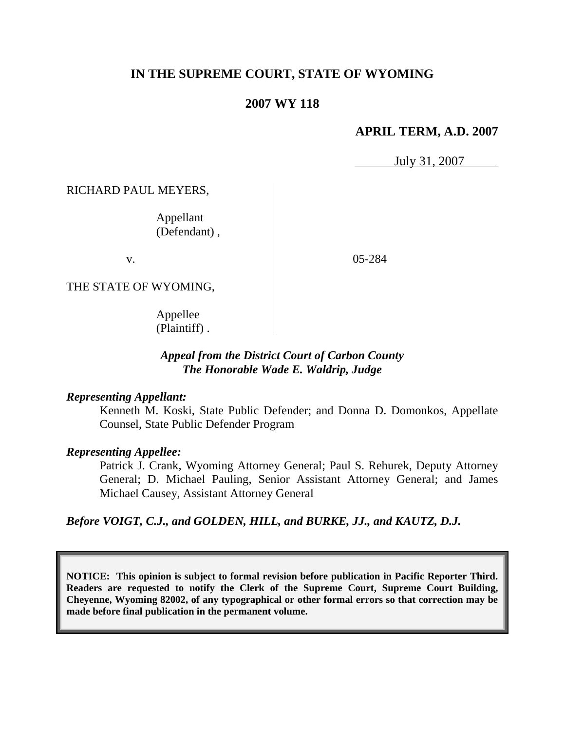# **IN THE SUPREME COURT, STATE OF WYOMING**

#### **2007 WY 118**

#### **APRIL TERM, A.D. 2007**

July 31, 2007

RICHARD PAUL MEYERS,

 Appellant (Defendant) ,

v.

05-284

THE STATE OF WYOMING,

 Appellee (Plaintiff) .

## *Appeal from the District Court of Carbon County The Honorable Wade E. Waldrip, Judge*

#### *Representing Appellant:*

Kenneth M. Koski, State Public Defender; and Donna D. Domonkos, Appellate Counsel, State Public Defender Program

#### *Representing Appellee:*

Patrick J. Crank, Wyoming Attorney General; Paul S. Rehurek, Deputy Attorney General; D. Michael Pauling, Senior Assistant Attorney General; and James Michael Causey, Assistant Attorney General

*Before VOIGT, C.J., and GOLDEN, HILL, and BURKE, JJ., and KAUTZ, D.J.*

**NOTICE: This opinion is subject to formal revision before publication in Pacific Reporter Third. Readers are requested to notify the Clerk of the Supreme Court, Supreme Court Building, Cheyenne, Wyoming 82002, of any typographical or other formal errors so that correction may be made before final publication in the permanent volume.**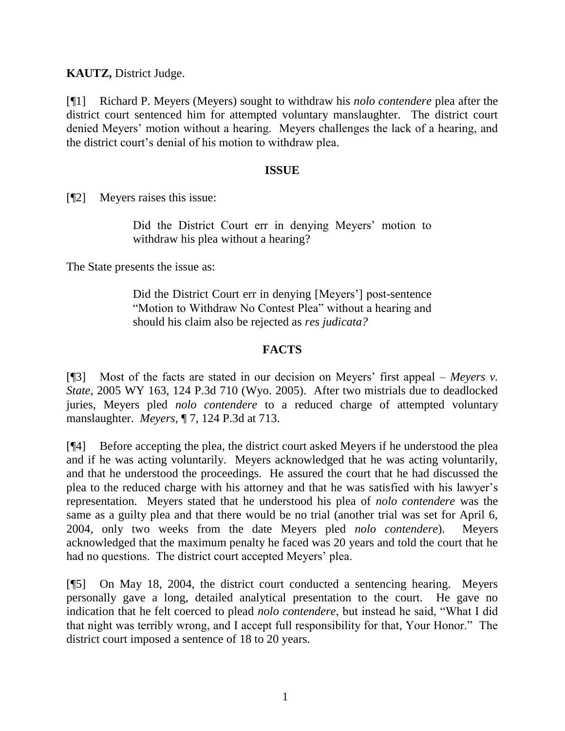**KAUTZ,** District Judge.

[¶1] Richard P. Meyers (Meyers) sought to withdraw his *nolo contendere* plea after the district court sentenced him for attempted voluntary manslaughter. The district court denied Meyers' motion without a hearing. Meyers challenges the lack of a hearing, and the district court"s denial of his motion to withdraw plea.

#### **ISSUE**

[¶2] Meyers raises this issue:

Did the District Court err in denying Meyers' motion to withdraw his plea without a hearing?

The State presents the issue as:

Did the District Court err in denying [Meyers"] post-sentence "Motion to Withdraw No Contest Plea" without a hearing and should his claim also be rejected as *res judicata?*

#### **FACTS**

[¶3] Most of the facts are stated in our decision on Meyers" first appeal – *Meyers v. State*, 2005 WY 163, 124 P.3d 710 (Wyo. 2005). After two mistrials due to deadlocked juries, Meyers pled *nolo contendere* to a reduced charge of attempted voluntary manslaughter. *Meyers*, ¶ 7, 124 P.3d at 713.

[¶4] Before accepting the plea, the district court asked Meyers if he understood the plea and if he was acting voluntarily. Meyers acknowledged that he was acting voluntarily, and that he understood the proceedings. He assured the court that he had discussed the plea to the reduced charge with his attorney and that he was satisfied with his lawyer"s representation. Meyers stated that he understood his plea of *nolo contendere* was the same as a guilty plea and that there would be no trial (another trial was set for April 6, 2004, only two weeks from the date Meyers pled *nolo contendere*). Meyers acknowledged that the maximum penalty he faced was 20 years and told the court that he had no questions. The district court accepted Meyers' plea.

[¶5] On May 18, 2004, the district court conducted a sentencing hearing. Meyers personally gave a long, detailed analytical presentation to the court. He gave no indication that he felt coerced to plead *nolo contendere*, but instead he said, "What I did that night was terribly wrong, and I accept full responsibility for that, Your Honor." The district court imposed a sentence of 18 to 20 years.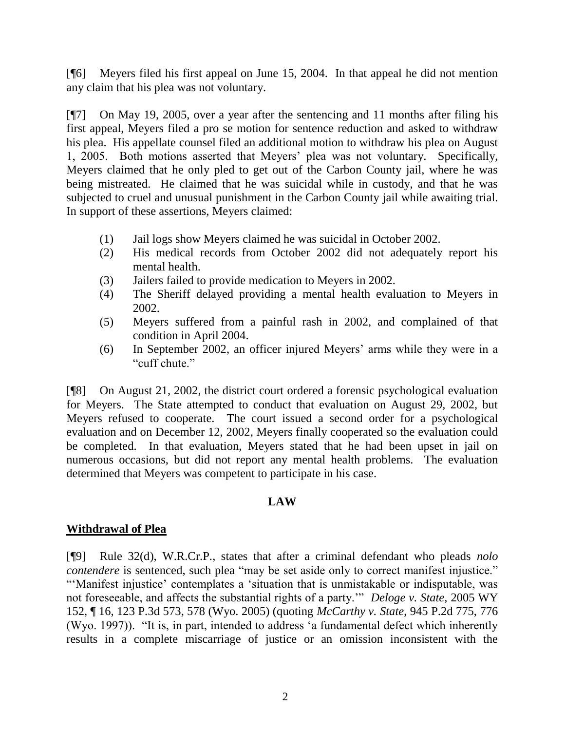[¶6] Meyers filed his first appeal on June 15, 2004. In that appeal he did not mention any claim that his plea was not voluntary.

[¶7] On May 19, 2005, over a year after the sentencing and 11 months after filing his first appeal, Meyers filed a pro se motion for sentence reduction and asked to withdraw his plea. His appellate counsel filed an additional motion to withdraw his plea on August 1, 2005. Both motions asserted that Meyers" plea was not voluntary. Specifically, Meyers claimed that he only pled to get out of the Carbon County jail, where he was being mistreated. He claimed that he was suicidal while in custody, and that he was subjected to cruel and unusual punishment in the Carbon County jail while awaiting trial. In support of these assertions, Meyers claimed:

- (1) Jail logs show Meyers claimed he was suicidal in October 2002.
- (2) His medical records from October 2002 did not adequately report his mental health.
- (3) Jailers failed to provide medication to Meyers in 2002.
- (4) The Sheriff delayed providing a mental health evaluation to Meyers in 2002.
- (5) Meyers suffered from a painful rash in 2002, and complained of that condition in April 2004.
- (6) In September 2002, an officer injured Meyers" arms while they were in a "cuff chute."

[¶8] On August 21, 2002, the district court ordered a forensic psychological evaluation for Meyers. The State attempted to conduct that evaluation on August 29, 2002, but Meyers refused to cooperate. The court issued a second order for a psychological evaluation and on December 12, 2002, Meyers finally cooperated so the evaluation could be completed. In that evaluation, Meyers stated that he had been upset in jail on numerous occasions, but did not report any mental health problems. The evaluation determined that Meyers was competent to participate in his case.

## **LAW**

# **Withdrawal of Plea**

[¶9] Rule 32(d), W.R.Cr.P., states that after a criminal defendant who pleads *nolo contendere* is sentenced, such plea "may be set aside only to correct manifest injustice." ""Manifest injustice" contemplates a "situation that is unmistakable or indisputable, was not foreseeable, and affects the substantial rights of a party."" *Deloge v. State*, 2005 WY 152, ¶ 16, 123 P.3d 573, 578 (Wyo. 2005) (quoting *McCarthy v. State*, 945 P.2d 775, 776 (Wyo. 1997)). "It is, in part, intended to address "a fundamental defect which inherently results in a complete miscarriage of justice or an omission inconsistent with the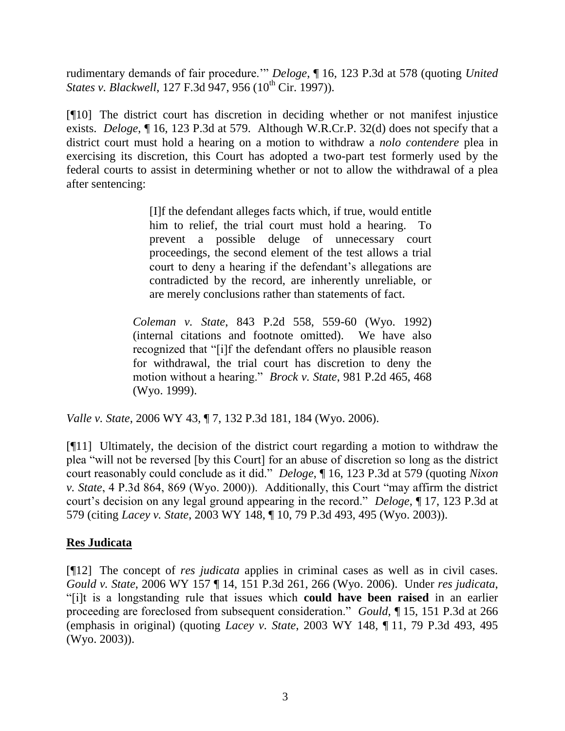rudimentary demands of fair procedure."" *Deloge*, ¶ 16, 123 P.3d at 578 (quoting *United States v. Blackwell*, 127 F.3d 947, 956 (10<sup>th</sup> Cir. 1997)).

[¶10] The district court has discretion in deciding whether or not manifest injustice exists. *Deloge*, ¶ 16, 123 P.3d at 579. Although W.R.Cr.P. 32(d) does not specify that a district court must hold a hearing on a motion to withdraw a *nolo contendere* plea in exercising its discretion, this Court has adopted a two-part test formerly used by the federal courts to assist in determining whether or not to allow the withdrawal of a plea after sentencing:

> [I]f the defendant alleges facts which, if true, would entitle him to relief, the trial court must hold a hearing. To prevent a possible deluge of unnecessary court proceedings, the second element of the test allows a trial court to deny a hearing if the defendant"s allegations are contradicted by the record, are inherently unreliable, or are merely conclusions rather than statements of fact.

*Coleman v. State*, 843 P.2d 558, 559-60 (Wyo. 1992) (internal citations and footnote omitted). We have also recognized that "[i]f the defendant offers no plausible reason for withdrawal, the trial court has discretion to deny the motion without a hearing." *Brock v. State*, 981 P.2d 465, 468 (Wyo. 1999).

*Valle v. State*, 2006 WY 43, ¶ 7, 132 P.3d 181, 184 (Wyo. 2006).

[¶11] Ultimately, the decision of the district court regarding a motion to withdraw the plea "will not be reversed [by this Court] for an abuse of discretion so long as the district court reasonably could conclude as it did." *Deloge*, ¶ 16, 123 P.3d at 579 (quoting *Nixon v. State*, 4 P.3d 864, 869 (Wyo. 2000)). Additionally, this Court "may affirm the district court"s decision on any legal ground appearing in the record." *Deloge*, ¶ 17, 123 P.3d at 579 (citing *Lacey v. State*, 2003 WY 148, ¶ 10, 79 P.3d 493, 495 (Wyo. 2003)).

## **Res Judicata**

[¶12] The concept of *res judicata* applies in criminal cases as well as in civil cases. *Gould v. State*, 2006 WY 157 ¶ 14, 151 P.3d 261, 266 (Wyo. 2006). Under *res judicata*, "[i]t is a longstanding rule that issues which **could have been raised** in an earlier proceeding are foreclosed from subsequent consideration." *Gould*, ¶ 15, 151 P.3d at 266 (emphasis in original) (quoting *Lacey v. State*, 2003 WY 148, ¶ 11, 79 P.3d 493, 495 (Wyo. 2003)).